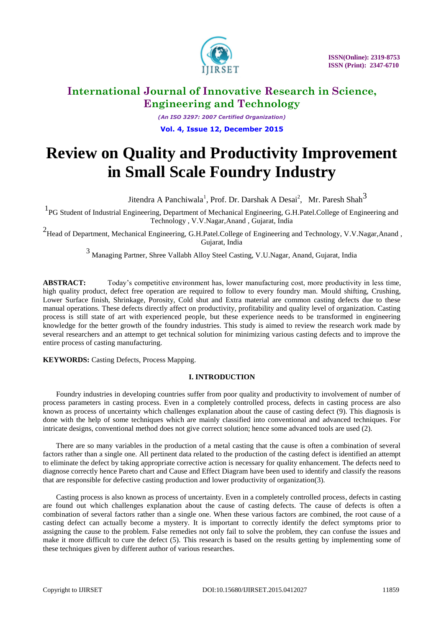

*(An ISO 3297: 2007 Certified Organization)* **Vol. 4, Issue 12, December 2015**

# **Review on Quality and Productivity Improvement in Small Scale Foundry Industry**

Jitendra A Panchiwala<sup>1</sup>, Prof. Dr. Darshak A Desai<sup>2</sup>, Mr. Paresh Shah<sup>3</sup>

<sup>1</sup>PG Student of Industrial Engineering, Department of Mechanical Engineering, G.H.Patel.College of Engineering and Technology , V.V.Nagar,Anand , Gujarat, India

<sup>2</sup> Head of Department, Mechanical Engineering, G.H.Patel.College of Engineering and Technology, V.V.Nagar,Anand, Gujarat, India

<sup>3</sup> Managing Partner, Shree Vallabh Alloy Steel Casting, V.U.Nagar, Anand, Gujarat, India

**ABSTRACT:** Today's competitive environment has, lower manufacturing cost, more productivity in less time, high quality product, defect free operation are required to follow to every foundry man. Mould shifting, Crushing, Lower Surface finish, Shrinkage, Porosity, Cold shut and Extra material are common casting defects due to these manual operations. These defects directly affect on productivity, profitability and quality level of organization. Casting process is still state of art with experienced people, but these experience needs to be transformed in engineering knowledge for the better growth of the foundry industries. This study is aimed to review the research work made by several researchers and an attempt to get technical solution for minimizing various casting defects and to improve the entire process of casting manufacturing.

**KEYWORDS:** Casting Defects, Process Mapping.

### **I. INTRODUCTION**

Foundry industries in developing countries suffer from poor quality and productivity to involvement of number of process parameters in casting process. Even in a completely controlled process, defects in casting process are also known as process of uncertainty which challenges explanation about the cause of casting defect (9). This diagnosis is done with the help of some techniques which are mainly classified into conventional and advanced techniques. For intricate designs, conventional method does not give correct solution; hence some advanced tools are used (2).

 There are so many variables in the production of a metal casting that the cause is often a combination of several factors rather than a single one. All pertinent data related to the production of the casting defect is identified an attempt to eliminate the defect by taking appropriate corrective action is necessary for quality enhancement. The defects need to diagnose correctly hence Pareto chart and Cause and Effect Diagram have been used to identify and classify the reasons that are responsible for defective casting production and lower productivity of organization(3).

 Casting process is also known as process of uncertainty. Even in a completely controlled process, defects in casting are found out which challenges explanation about the cause of casting defects. The cause of defects is often a combination of several factors rather than a single one. When these various factors are combined, the root cause of a casting defect can actually become a mystery. It is important to correctly identify the defect symptoms prior to assigning the cause to the problem. False remedies not only fail to solve the problem, they can confuse the issues and make it more difficult to cure the defect (5). This research is based on the results getting by implementing some of these techniques given by different author of various researches.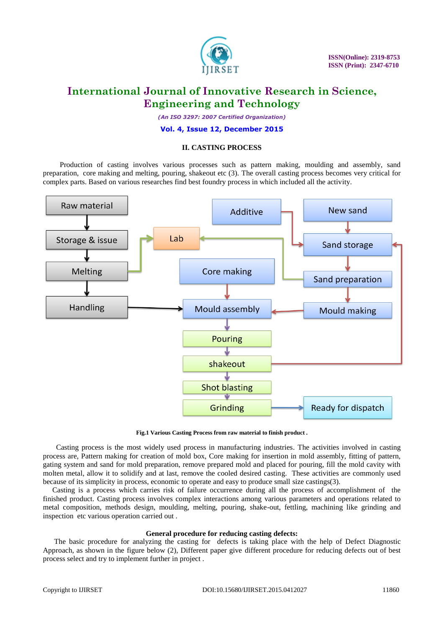

*(An ISO 3297: 2007 Certified Organization)*

#### **Vol. 4, Issue 12, December 2015**

#### **II. CASTING PROCESS**

Production of casting involves various processes such as pattern making, moulding and assembly, sand preparation, core making and melting, pouring, shakeout etc (3). The overall casting process becomes very critical for complex parts. Based on various researches find best foundry process in which included all the activity.



**Fig.1 Various Casting Process from raw material to finish product .**

 Casting process is the most widely used process in manufacturing industries. The activities involved in casting process are, Pattern making for creation of mold box, Core making for insertion in mold assembly, fitting of pattern, gating system and sand for mold preparation, remove prepared mold and placed for pouring, fill the mold cavity with molten metal, allow it to solidify and at last, remove the cooled desired casting. These activities are commonly used because of its simplicity in process, economic to operate and easy to produce small size castings(3).

 Casting is a process which carries risk of failure occurrence during all the process of accomplishment of the finished product. Casting process involves complex interactions among various parameters and operations related to metal composition, methods design, moulding, melting, pouring, shake-out, fettling, machining like grinding and inspection etc various operation carried out .

#### **General procedure for reducing casting defects:**

The basic procedure for analyzing the casting for defects is taking place with the help of Defect Diagnostic Approach, as shown in the figure below (2), Different paper give different procedure for reducing defects out of best process select and try to implement further in project .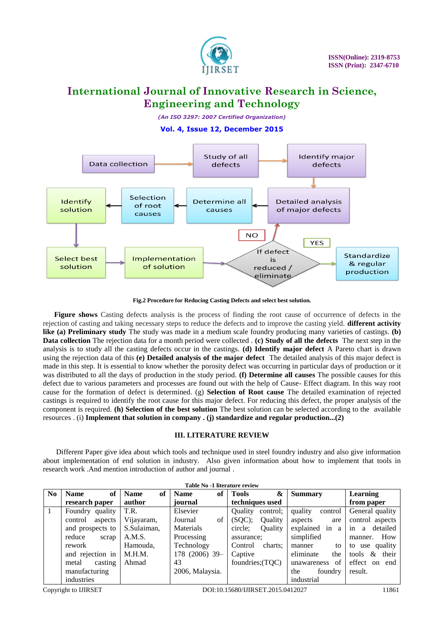

*(An ISO 3297: 2007 Certified Organization)*

**Vol. 4, Issue 12, December 2015**



**Fig.2 Procedure for Reducing Casting Defects and select best solution.**

**Figure shows** Casting defects analysis is the process of finding the root cause of occurrence of defects in the rejection of casting and taking necessary steps to reduce the defects and to improve the casting yield. **different activity like (a) Preliminary study** The study was made in a medium scale foundry producing many varieties of castings. **(b) Data collection** The rejection data for a month period were collected . **(c) Study of all the defects** The next step in the analysis is to study all the casting defects occur in the castings. **(d) Identify major defect** A Pareto chart is drawn using the rejection data of this **(e) Detailed analysis of the major defect** The detailed analysis of this major defect is made in this step. It is essential to know whether the porosity defect was occurring in particular days of production or it was distributed to all the days of production in the study period. **(f) Determine all causes** The possible causes for this defect due to various parameters and processes are found out with the help of Cause- Effect diagram. In this way root cause for the formation of defect is determined. (g) **Selection of Root cause** The detailed examination of rejected castings is required to identify the root cause for this major defect. For reducing this defect, the proper analysis of the component is required. **(h) Selection of the best solution** The best solution can be selected according to the available resources . (i) **Implement that solution in company . (j) standardize and regular production...(2)**

### **III. LITERATURE REVIEW**

Different Paper give idea about which tools and technique used in steel foundry industry and also give information about implementation of end solution in industry. Also given information about how to implement that tools in research work .And mention introduction of author and journal .

| Table No -1 literature review |                    |       |                   |                 |    |                  |                |                    |                     |
|-------------------------------|--------------------|-------|-------------------|-----------------|----|------------------|----------------|--------------------|---------------------|
| N <sub>0</sub>                | <b>Name</b>        | of    | of<br><b>Name</b> | <b>Name</b>     | of | <b>Tools</b>     | &              | <b>Summary</b>     | <b>Learning</b>     |
|                               | research paper     |       | author            | journal         |    | techniques used  |                |                    | from paper          |
| 1                             | Foundry quality    |       | T.R.              | Elsevier        |    | <b>Ouality</b>   | control;       | quality<br>control | General quality     |
|                               | control<br>aspects |       | Vijayaram,        | Journal         | of | (SQC);           | <b>Ouality</b> | aspects<br>are     | control aspects     |
|                               | and prospects to   |       | S.Sulaiman,       | Materials       |    | circle;          | <b>Ouality</b> | explained in a     | in a<br>detailed    |
|                               | reduce             | scrap | A.M.S.            | Processing      |    | assurance;       |                | simplified         | How<br>manner.      |
|                               | rework             |       | Hamouda,          | Technology      |    | Control          | charts:        | to<br>manner       | to use quality      |
|                               | and rejection in   |       | M.H.M.            | 178 (2006) 39-  |    | Captive          |                | eliminate<br>the   | tools $\&$<br>their |
|                               | casting<br>metal   |       | Ahmad             | 43              |    | foundries; (TQC) |                | of<br>unawareness  | effect on end       |
|                               | manufacturing      |       |                   | 2006, Malaysia. |    |                  |                | the<br>foundry     | result.             |
|                               | industries         |       |                   |                 |    |                  |                | industrial         |                     |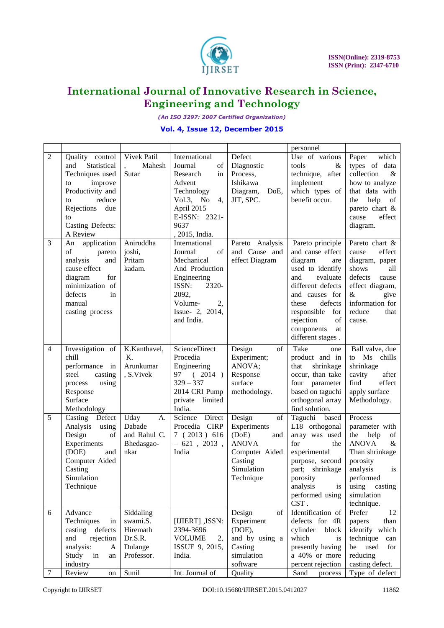

*(An ISO 3297: 2007 Certified Organization)*

### **Vol. 4, Issue 12, December 2015**

|                |                               |              |                                 |                  | personnel             |                                        |
|----------------|-------------------------------|--------------|---------------------------------|------------------|-----------------------|----------------------------------------|
| $\overline{2}$ | Quality control               | Vivek Patil  | International                   | Defect           | Use of various        | which<br>Paper                         |
|                | and<br>Statistical            | Mahesh       | Journal<br>of                   | Diagnostic       | tools<br>$\&$         | types of data                          |
|                | Techniques used               | Sutar        | Research<br>in                  | Process,         | technique, after      | collection<br>$\&$                     |
|                | improve<br>to                 |              | Advent                          | Ishikawa         | implement             | how to analyze                         |
|                | Productivity and              |              | Technology                      | Diagram,<br>DoE, | which types of        | that data with                         |
|                | reduce                        |              | Vol.3, No<br>4,                 | JIT, SPC.        | benefit occur.        | help<br>of<br>the                      |
|                | to                            |              | April 2015                      |                  |                       | pareto chart &                         |
|                | Rejections due                |              | E-ISSN: 2321-                   |                  |                       | effect                                 |
|                | to<br><b>Casting Defects:</b> |              | 9637                            |                  |                       | cause                                  |
|                |                               |              |                                 |                  |                       | diagram.                               |
|                | A Review                      | Aniruddha    | , 2015, India.<br>International |                  |                       |                                        |
| 3              | An application                |              |                                 | Pareto Analysis  | Pareto principle      | Pareto chart &                         |
|                | of<br>pareto                  | joshi,       | Journal<br>of                   | and Cause and    | and cause effect      | effect<br>cause                        |
|                | analysis<br>and               | Pritam       | Mechanical                      | effect Diagram   | diagram<br>are        | diagram, paper                         |
|                | cause effect                  | kadam.       | And Production                  |                  | used to identify      | shows<br>all                           |
|                | diagram<br>for                |              | Engineering                     |                  | evaluate<br>and       | defects<br>cause                       |
|                | minimization of               |              | ISSN:<br>2320-                  |                  | different defects     | effect diagram,                        |
|                | defects<br>in                 |              | 2092,                           |                  | and causes<br>for     | $\&$<br>give                           |
|                | manual                        |              | Volume-<br>2,                   |                  | defects<br>these      | information for                        |
|                | casting process               |              | Issue- 2, 2014,                 |                  | responsible<br>for    | reduce<br>that                         |
|                |                               |              | and India.                      |                  | rejection<br>of       | cause.                                 |
|                |                               |              |                                 |                  | components<br>at      |                                        |
|                |                               |              |                                 |                  | different stages.     |                                        |
| 4              | Investigation of              | K.Kanthavel, | ScienceDirect                   | Design<br>of     | Take<br>one           | Ball valve, due                        |
|                | chill                         | Κ.           | Procedia                        | Experiment;      | product and in        | $\overline{\text{Ms}}$<br>chills<br>to |
|                | performance in                | Arunkumar    | Engineering                     | ANOVA;           | that<br>shrinkage     | shrinkage                              |
|                | casting<br>steel              | , S.Vivek    | 97 (2014)                       | Response         | occur, than take      | cavity<br>after                        |
|                | using<br>process              |              | $329 - 337$                     | surface          | four parameter        | find<br>effect                         |
|                | Response                      |              | 2014 CRI Pump                   | methodology.     | based on taguchi      | apply surface                          |
|                | Surface                       |              | private limited                 |                  | orthogonal array      | Methodology.                           |
|                | Methodology                   |              | India.                          |                  | find solution.        |                                        |
| 5              | Casting Defect                | Uday<br>A.   | Science Direct                  | Design<br>of     | Taguchi based         | Process                                |
|                | Analysis using                | Dabade       | Procedia CIRP                   | Experiments      | L18 orthogonal        | parameter with                         |
|                | Design<br>of                  | and Rahul C. | 7(2013)616                      | (DoE)<br>and     | array was used        | the<br>help<br>of                      |
|                | Experiments                   | Bhedasgao-   | $-621$ , 2013,                  | <b>ANOVA</b>     | for<br>the            | <b>ANOVA</b><br>$\&$                   |
|                | (DOE)<br>and                  | nkar         | India                           | Computer Aided   | experimental          | Than shrinkage                         |
|                | Computer Aided                |              |                                 | Casting          | purpose, second       | porosity                               |
|                | Casting                       |              |                                 | Simulation       | part; shrinkage       | analysis<br>is                         |
|                | Simulation                    |              |                                 | Technique        | porosity              | performed                              |
|                | Technique                     |              |                                 |                  | analysis<br><i>is</i> | using<br>casting                       |
|                |                               |              |                                 |                  | performed using       | simulation                             |
|                |                               |              |                                 |                  | CST.                  | technique.                             |
| 6              | Advance                       | Siddaling    |                                 | Design<br>of     | Identification of     | 12<br>Prefer                           |
|                | Techniques<br>in              | swami.S.     | [IJIERT], ISSN:                 | Experiment       | defects for 4R        | papers<br>than                         |
|                | casting defects               | Hiremath     | 2394-3696                       | (DOE),           | cylinder<br>block     | identify which                         |
|                | and<br>rejection              | Dr.S.R.      | <b>VOLUME</b><br>2,             | and by using a   | which<br>is           | technique<br>can                       |
|                | analysis:<br>$\mathbf{A}$     | Dulange      | ISSUE 9, 2015,                  | Casting          | presently having      | used<br>be<br>for                      |
|                | Study<br>in<br>an             | Professor.   | India.                          | simulation       | a 40% or more         | reducing                               |
|                | industry                      |              |                                 | software         | percent rejection     | casting defect.                        |
| 7              | Review<br>on                  | Sunil        | Int. Journal of                 | Quality          | Sand<br>process       | Type of defect                         |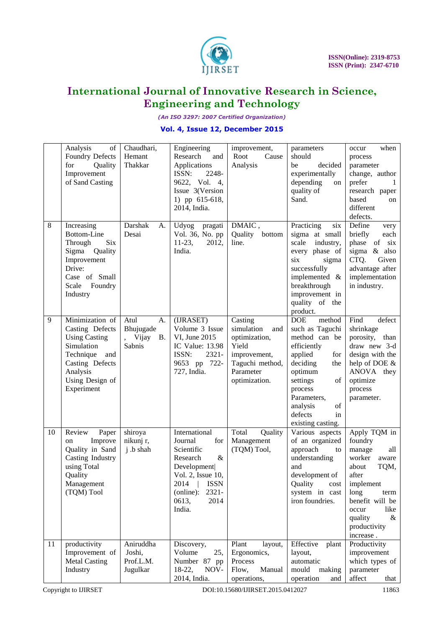

*(An ISO 3297: 2007 Certified Organization)*

### **Vol. 4, Issue 12, December 2015**

|    | Analysis<br>of                 | Chaudhari,         | Engineering                    | improvement,      |                                   | when                          |
|----|--------------------------------|--------------------|--------------------------------|-------------------|-----------------------------------|-------------------------------|
|    | Foundry Defects                | Hemant             | Research<br>and                | Root<br>Cause     | parameters<br>should              | occur<br>process              |
|    | for<br>Quality                 | Thakkar            | Applications<br>ISSN:<br>2248- | Analysis          | be<br>decided                     | parameter                     |
|    | Improvement<br>of Sand Casting |                    | 9622, Vol. 4,                  |                   | experimentally<br>depending<br>on | change, author<br>prefer<br>1 |
|    |                                |                    | Issue 3(Version                |                   | quality of                        | research paper                |
|    |                                |                    | 1) pp 615-618,                 |                   | Sand.                             | based<br>on                   |
|    |                                |                    | 2014, India.                   |                   |                                   | different                     |
|    |                                |                    |                                |                   |                                   | defects.                      |
| 8  | Increasing                     | Darshak<br>A.      | Udyog<br>pragati               | DMAIC,            | Practicing<br>six                 | Define<br>very                |
|    | Bottom-Line                    | Desai              | Vol. 36, No. pp                | Quality<br>bottom | sigma at small                    | briefly<br>each               |
|    | Six<br>Through                 |                    | $11-23$ ,<br>2012,             | line.             | scale<br>industry,                | phase of six                  |
|    | Sigma<br>Quality               |                    | India.                         |                   | every phase of                    | sigma & also                  |
|    | Improvement                    |                    |                                |                   | six<br>sigma                      | CTQ.<br>Given                 |
|    | Drive:                         |                    |                                |                   | successfully                      | advantage after               |
|    | Case of Small                  |                    |                                |                   | implemented &                     | implementation                |
|    | Scale<br>Foundry               |                    |                                |                   | breakthrough                      | in industry.                  |
|    | Industry                       |                    |                                |                   | improvement in<br>quality of the  |                               |
|    |                                |                    |                                |                   | product.                          |                               |
| 9  | Minimization of                | A.<br>Atul         | (IJRASET)                      | Casting           | <b>DOE</b><br>method              | Find<br>defect                |
|    | Casting Defects                | Bhujugade          | Volume 3 Issue                 | simulation<br>and | such as Taguchi                   | shrinkage                     |
|    | <b>Using Casting</b>           | Vijay<br><b>B.</b> | VI, June 2015                  | optimization,     | method can be                     | porosity,<br>than             |
|    | Simulation                     | Sabnis             | IC Value: 13.98                | Yield             | efficiently                       | draw new 3-d                  |
|    | Technique<br>and               |                    | ISSN:<br>2321-                 | improvement,      | applied<br>for                    | design with the               |
|    | Casting Defects                |                    | 9653 pp 722-                   | Taguchi method,   | deciding<br>the                   | help of DOE &                 |
|    | Analysis                       |                    | 727, India.                    | Parameter         | optimum                           | ANOVA they                    |
|    | Using Design of                |                    |                                | optimization.     | settings<br>of                    | optimize                      |
|    | Experiment                     |                    |                                |                   | process                           | process                       |
|    |                                |                    |                                |                   | Parameters,                       | parameter.                    |
|    |                                |                    |                                |                   | analysis<br>of<br>defects<br>in   |                               |
|    |                                |                    |                                |                   | existing casting.                 |                               |
| 10 | Review<br>Paper                | shiroya            | International                  | Total<br>Quality  | Various aspects                   | Apply TQM in                  |
|    | Improve<br>on                  | nikunj r,          | Journal<br>for                 | Management        | of an organized                   | foundry                       |
|    | Quality in Sand                | j .b shah          | Scientific                     | (TQM) Tool,       | approach<br>to                    | manage<br>all                 |
|    | Casting Industry               |                    | Research<br>&                  |                   | understanding                     | worker<br>aware               |
|    | using Total                    |                    | Development                    |                   | and                               | TQM,<br>about                 |
|    | Quality                        |                    | Vol. 2, Issue 10,              |                   | development of                    | after                         |
|    | Management                     |                    | 2014<br><b>ISSN</b>            |                   | Quality<br>cost                   | implement                     |
|    | (TQM) Tool                     |                    | 2321-<br>(online):             |                   | system in cast                    | long<br>term                  |
|    |                                |                    | 2014<br>0613,                  |                   | iron foundries.                   | benefit will be               |
|    |                                |                    | India.                         |                   |                                   | like<br>occur                 |
|    |                                |                    |                                |                   |                                   | quality<br>&<br>productivity  |
|    |                                |                    |                                |                   |                                   | increase.                     |
| 11 | productivity                   | Aniruddha          | Discovery,                     | Plant<br>layout,  | Effective<br>plant                | Productivity                  |
|    | Improvement of                 | Joshi,             | Volume<br>25,                  | Ergonomics,       | layout,                           | improvement                   |
|    | <b>Metal Casting</b>           | Prof.L.M.          | Number 87 pp                   | Process           | automatic                         | which types of                |
|    | Industry                       | Jugulkar           | 18-22,<br>NOV-                 | Flow,<br>Manual   | mould<br>making                   | parameter                     |
|    |                                |                    | 2014, India.                   | operations,       | operation<br>and                  | affect<br>that                |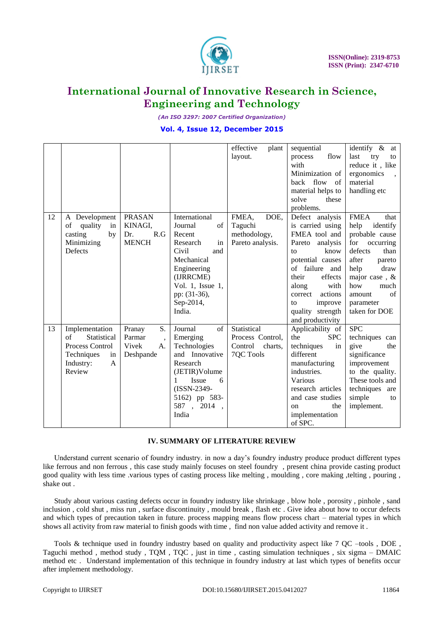

*(An ISO 3297: 2007 Certified Organization)*

### **Vol. 4, Issue 12, December 2015**

|    |                           |                                    |                  | effective<br>plant | sequential         | identify & at       |
|----|---------------------------|------------------------------------|------------------|--------------------|--------------------|---------------------|
|    |                           |                                    |                  | layout.            | flow<br>process    | last<br>try<br>to   |
|    |                           |                                    |                  |                    | with               | reduce it, like     |
|    |                           |                                    |                  |                    | Minimization of    | ergonomics          |
|    |                           |                                    |                  |                    | back flow<br>of    | material            |
|    |                           |                                    |                  |                    | material helps to  | handling etc        |
|    |                           |                                    |                  |                    | solve<br>these     |                     |
|    |                           |                                    |                  |                    | problems.          |                     |
| 12 | A Development             | <b>PRASAN</b>                      | International    | FMEA,<br>DOE,      | Defect analysis    | <b>FMEA</b><br>that |
|    | of<br>quality<br>in       | KINAGI,                            | Journal<br>of    | Taguchi            | is carried using   | help<br>identify    |
|    | casting<br>by             | R.G<br>Dr.                         | Recent           | methodology,       | FMEA tool and      | probable cause      |
|    | Minimizing                | <b>MENCH</b>                       | in<br>Research   | Pareto analysis.   | Pareto<br>analysis | for<br>occurring    |
|    | Defects                   |                                    | Civil<br>and     |                    | know<br>to         | defects<br>than     |
|    |                           |                                    | Mechanical       |                    | potential causes   | after<br>pareto     |
|    |                           |                                    | Engineering      |                    | of failure and     | help<br>draw        |
|    |                           |                                    | (IJRRCME)        |                    | their<br>effects   | major case, &       |
|    |                           |                                    | Vol. 1, Issue 1, |                    | along<br>with      | how<br>much         |
|    |                           |                                    | pp: (31-36),     |                    | actions<br>correct | of<br>amount        |
|    |                           |                                    | Sep-2014,        |                    | improve<br>to      | parameter           |
|    |                           |                                    | India.           |                    | quality strength   | taken for DOE       |
|    |                           |                                    |                  |                    | and productivity   |                     |
| 13 | Implementation            | S.<br>Pranay                       | Journal<br>of    | Statistical        | Applicability of   | <b>SPC</b>          |
|    | Statistical<br>of         | Parmar<br>$\overline{\phantom{a}}$ | Emerging         | Process Control,   | the<br><b>SPC</b>  | techniques can      |
|    | Process Control           | Vivek<br>A.                        | Technologies     | Control<br>charts, | techniques<br>in   | give<br>the         |
|    | Techniques<br>in          | Deshpande                          | and Innovative   | 7QC Tools          | different          | significance        |
|    | Industry:<br>$\mathbf{A}$ |                                    | Research         |                    | manufacturing      | improvement         |
|    | Review                    |                                    | (JETIR)Volume    |                    | industries.        | to the quality.     |
|    |                           |                                    | Issue<br>1<br>6  |                    | Various            | These tools and     |
|    |                           |                                    | (ISSN-2349-      |                    | research articles  | techniques are      |
|    |                           |                                    | 5162) pp 583-    |                    | and case studies   | simple<br>to        |
|    |                           |                                    | 587, 2014        |                    | the<br>on          | implement.          |
|    |                           |                                    | India            |                    | implementation     |                     |
|    |                           |                                    |                  |                    | of SPC.            |                     |
|    |                           |                                    |                  |                    |                    |                     |

#### **IV. SUMMARY OF LITERATURE REVIEW**

 Understand current scenario of foundry industry. in now a day"s foundry industry produce product different types like ferrous and non ferrous , this case study mainly focuses on steel foundry , present china provide casting product good quality with less time .various types of casting process like melting , moulding , core making ,telting , pouring , shake out .

Study about various casting defects occur in foundry industry like shrinkage , blow hole , porosity , pinhole , sand inclusion , cold shut , miss run , surface discontinuity , mould break , flash etc . Give idea about how to occur defects and which types of precaution taken in future. process mapping means flow process chart – material types in which shows all activity from raw material to finish goods with time , find non value added activity and remove it .

Tools & technique used in foundry industry based on quality and productivity aspect like 7 QC –tools, DOE, Taguchi method , method study , TQM , TQC , just in time , casting simulation techniques , six sigma – DMAIC method etc . Understand implementation of this technique in foundry industry at last which types of benefits occur after implement methodology.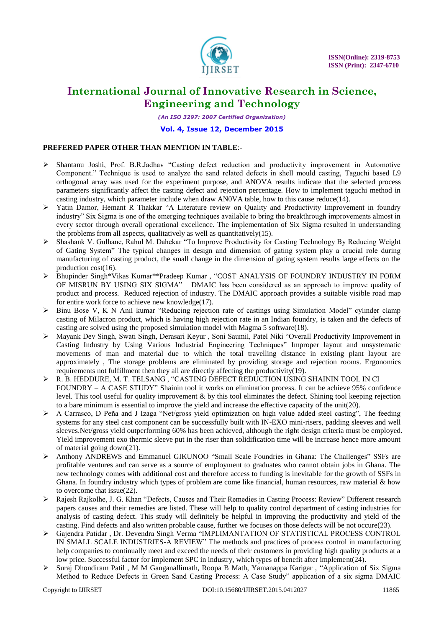

*(An ISO 3297: 2007 Certified Organization)*

#### **Vol. 4, Issue 12, December 2015**

### **PREFERED PAPER OTHER THAN MENTION IN TABLE**:-

- Shantanu Joshi, Prof. B.R.Jadhav "Casting defect reduction and productivity improvement in Automotive Component." Technique is used to analyze the sand related defects in shell mould casting, Taguchi based L9 orthogonal array was used for the experiment purpose, and ANOVA results indicate that the selected process parameters significantly affect the casting defect and rejection percentage. How to implement taguchi method in casting industry, which parameter include when draw AN0VA table, how to this cause reduce(14).
- Yatin Damor, Hemant R Thakkar "A Literature review on Quality and Productivity Improvement in foundry industry" Six Sigma is one of the emerging techniques available to bring the breakthrough improvements almost in every sector through overall operational excellence. The implementation of Six Sigma resulted in understanding the problems from all aspects, qualitatively as well as quantitatively(15).
- Shashank V. Gulhane, Rahul M. Dahekar "To Improve Productivity for Casting Technology By Reducing Weight of Gating System" The typical changes in design and dimension of gating system play a crucial role during manufacturing of casting product, the small change in the dimension of gating system results large effects on the production cost(16).
- Bhupinder Singh\*Vikas Kumar\*\*Pradeep Kumar , "COST ANALYSIS OF FOUNDRY INDUSTRY IN FORM OF MISRUN BY USING SIX SIGMA" DMAIC has been considered as an approach to improve quality of product and process. Reduced rejection of industry. The DMAIC approach provides a suitable visible road map for entire work force to achieve new knowledge(17).
- $\triangleright$  Binu Bose V, K N Anil kumar "Reducing rejection rate of castings using Simulation Model" cylinder clamp casting of Milacron product, which is having high rejection rate in an Indian foundry, is taken and the defects of casting are solved using the proposed simulation model with Magma 5 software(18).
- Mayank Dev Singh, Swati Singh, Derasari Keyur , Soni Saumil, Patel Niki "Overall Productivity Improvement in Casting Industry by Using Various Industrial Engineering Techniques" Improper layout and unsystematic movements of man and material due to which the total travelling distance in existing plant layout are approximately , The storage problems are eliminated by providing storage and rejection rooms. Ergonomics requirements not fulfillment then they all are directly affecting the productivity(19).
- R. B. HEDDURE, M. T. TELSANG , "CASTING DEFECT REDUCTION USING SHAININ TOOL IN CI FOUNDRY – A CASE STUDY" Shainin tool it works on elimination process. It can be achieve 95% confidence level. This tool useful for quality improvement & by this tool eliminates the defect. Shining tool keeping rejection to a bare minimum is essential to improve the yield and increase the effective capacity of the unit(20).
- $\triangleright$  A Carrasco, D Peña and J Izaga "Net/gross yield optimization on high value added steel casting". The feeding systems for any steel cast component can be successfully built with IN-EXO mini-risers, padding sleeves and well sleeves.Net/gross yield outperforming 60% has been achieved, although the right design criteria must be employed. Yield improvement exo thermic sleeve put in the riser than solidification time will be increase hence more amount of material going down(21).
- Anthony ANDREWS and Emmanuel GIKUNOO "Small Scale Foundries in Ghana: The Challenges" SSFs are profitable ventures and can serve as a source of employment to graduates who cannot obtain jobs in Ghana. The new technology comes with additional cost and therefore access to funding is inevitable for the growth of SSFs in Ghana. In foundry industry which types of problem are come like financial, human resources, raw material & how to overcome that issue(22).
- Rajesh Rajkolhe, J. G. Khan "Defects, Causes and Their Remedies in Casting Process: Review" Different research papers causes and their remedies are listed. These will help to quality control department of casting industries for analysis of casting defect. This study will definitely be helpful in improving the productivity and yield of the casting. Find defects and also written probable cause, further we focuses on those defects will be not occure(23).
- Gajendra Patidar , Dr. Devendra Singh Verma "IMPLIMANTATION OF STATISTICAL PROCESS CONTROL IN SMALL SCALE INDUSTRIES-A REVIEW" The methods and practices of process control in manufacturing help companies to continually meet and exceed the needs of their customers in providing high quality products at a low price. Successful factor for implement SPC in industry, which types of benefit after implement(24).
- Suraj Dhondiram Patil , M M Ganganallimath, Roopa B Math, Yamanappa Karigar , "Application of Six Sigma Method to Reduce Defects in Green Sand Casting Process: A Case Study" application of a six sigma DMAIC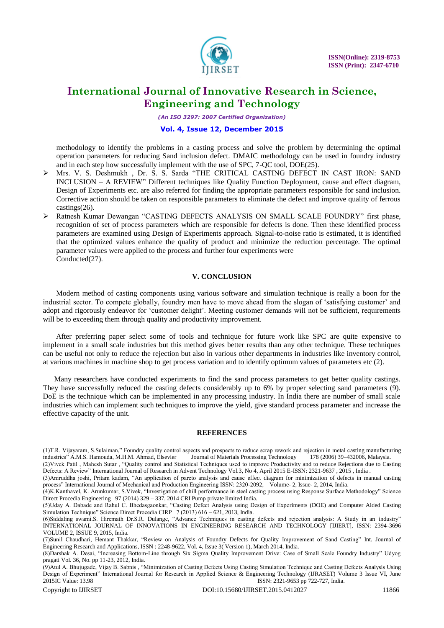

*(An ISO 3297: 2007 Certified Organization)*

#### **Vol. 4, Issue 12, December 2015**

methodology to identify the problems in a casting process and solve the problem by determining the optimal operation parameters for reducing Sand inclusion defect. DMAIC methodology can be used in foundry industry and in each step how successfully implement with the use of SPC, 7-QC tool, DOE(25).

- Mrs. V. S. Deshmukh , Dr. S. S. Sarda "THE CRITICAL CASTING DEFECT IN CAST IRON: SAND INCLUSION – A REVIEW" Different techniques like Quality Function Deployment, cause and effect diagram, Design of Experiments etc. are also referred for finding the appropriate parameters responsible for sand inclusion. Corrective action should be taken on responsible parameters to eliminate the defect and improve quality of ferrous castings(26).
- Ratnesh Kumar Dewangan "CASTING DEFECTS ANALYSIS ON SMALL SCALE FOUNDRY" first phase, recognition of set of process parameters which are responsible for defects is done. Then these identified process parameters are examined using Design of Experiments approach. Signal-to-noise ratio is estimated, it is identified that the optimized values enhance the quality of product and minimize the reduction percentage. The optimal parameter values were applied to the process and further four experiments were Conducted(27).

#### **V. CONCLUSION**

 Modern method of casting components using various software and simulation technique is really a boon for the industrial sector. To compete globally, foundry men have to move ahead from the slogan of "satisfying customer" and adopt and rigorously endeavor for "customer delight". Meeting customer demands will not be sufficient, requirements will be to exceeding them through quality and productivity improvement.

 After preferring paper select some of tools and technique for future work like SPC are quite expensive to implement in a small scale industries but this method gives better results than any other technique. These techniques can be useful not only to reduce the rejection but also in various other departments in industries like inventory control, at various machines in machine shop to get process variation and to identify optimum values of parameters etc (2).

 Many researchers have conducted experiments to find the sand process parameters to get better quality castings. They have successfully reduced the casting defects considerably up to 6% by proper selecting sand parameters (9). DoE is the technique which can be implemented in any processing industry. In India there are number of small scale industries which can implement such techniques to improve the yield, give standard process parameter and increase the effective capacity of the unit.

#### **REFERENCES**

Defects: A Review" International Journal of Research in Advent Technology Vol.3, No 4, April 2015 E-ISSN: 2321-9637, 2015, India . (3)Aniruddha joshi, Pritam kadam, "An application of pareto analysis and cause effect diagram for minimization of defects in manual casting

(5)Uday A. Dabade and Rahul C. Bhedasgaonkar, "Casting Defect Analysis using Design of Experiments (DOE) and Computer Aided Casting Simulation Technique" Science Direct Procedia CIRP 7 (2013) 616 – 621, 2013, India.

(9)Atul A. Bhujugade, Vijay B. Sabnis , "Minimization of Casting Defects Using Casting Simulation Technique and Casting Defects Analysis Using Design of Experiment" International Journal for Research in Applied Science & Engineering Technology (IJRASET) Volume 3 Issue VI, June 2015IC Value: 13.98 ISSN: 2321-9653 pp 722-727, India.

<sup>(1)</sup>T.R. Vijayaram, S.Sulaiman," Foundry quality control aspects and prospects to reduce scrap rework and rejection in metal casting manufacturing industries" A.M.S. Hamouda, M.H.M. Ahmad, Elsevier Journal of Materials Processing Technology 178 (2006) 39–432006, Malaysia. (2)Vivek Patil , Mahesh Sutar , "Quality control and Statistical Techniques used to improve Productivity and to reduce Rejections due to Casting

process" International Journal of Mechanical and Production Engineering ISSN: 2320-2092, Volume- 2, Issue- 2, 2014, India. (4)K.Kanthavel, K. Arunkumar, S.Vivek, "Investigation of chill performance in steel casting process using Response Surface Methodology" Science Direct Procedia Engineering 97 (2014) 329 – 337, 2014 CRI Pump private limited India.

<sup>(6)</sup>Siddaling swami.S. Hiremath Dr.S.R. Dulange, "Advance Techniques in casting defects and rejection analysis: A Study in an industry" INTERNATIONAL JOURNAL OF INNOVATIONS IN ENGINEERING RESEARCH AND TECHNOLOGY [IJIERT], ISSN: 2394-3696 VOLUME 2, ISSUE 9, 2015, India.

<sup>(7)</sup>Sunil Chaudhari, Hemant Thakkar, "Review on Analysis of Foundry Defects for Quality Improvement of Sand Casting" Int. Journal of Engineering Research and Applications, ISSN : 2248-9622, Vol. 4, Issue 3( Version 1), March 2014, India.

<sup>(8)</sup>Darshak A. Desai, "Increasing Bottom-Line through Six Sigma Quality Improvement Drive: Case of Small Scale Foundry Industry" Udyog pragati Vol. 36, No. pp 11-23, 2012, India.